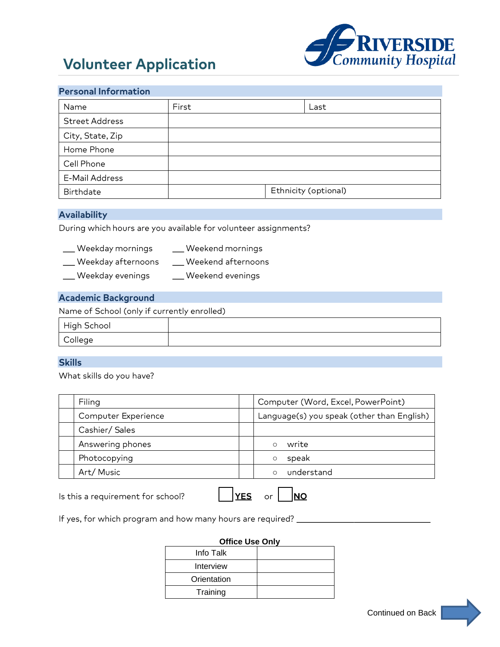# **Volunteer Application**



| <b>Personal Information</b>                                     |                      |            |                        |            |                                            |
|-----------------------------------------------------------------|----------------------|------------|------------------------|------------|--------------------------------------------|
| Name                                                            | First                |            |                        | Last       |                                            |
| <b>Street Address</b>                                           |                      |            |                        |            |                                            |
| City, State, Zip                                                |                      |            |                        |            |                                            |
| Home Phone                                                      |                      |            |                        |            |                                            |
| Cell Phone                                                      |                      |            |                        |            |                                            |
| <b>E-Mail Address</b>                                           |                      |            |                        |            |                                            |
| <b>Birthdate</b>                                                |                      |            | Ethnicity (optional)   |            |                                            |
| <b>Availability</b>                                             |                      |            |                        |            |                                            |
| During which hours are you available for volunteer assignments? |                      |            |                        |            |                                            |
| __ Weekday mornings                                             | _ Weekend mornings   |            |                        |            |                                            |
| __ Weekday afternoons                                           | _ Weekend afternoons |            |                        |            |                                            |
| ___ Weekday evenings                                            | __ Weekend evenings  |            |                        |            |                                            |
| <b>Academic Background</b>                                      |                      |            |                        |            |                                            |
| Name of School (only if currently enrolled)                     |                      |            |                        |            |                                            |
| High School                                                     |                      |            |                        |            |                                            |
| College                                                         |                      |            |                        |            |                                            |
|                                                                 |                      |            |                        |            |                                            |
| <b>Skills</b><br>What skills do you have?                       |                      |            |                        |            |                                            |
|                                                                 |                      |            |                        |            |                                            |
| Filing                                                          |                      |            |                        |            | Computer (Word, Excel, PowerPoint)         |
| Computer Experience                                             |                      |            |                        |            | Language(s) you speak (other than English) |
| Cashier/ Sales                                                  |                      |            |                        |            |                                            |
| Answering phones                                                |                      |            | write<br>$\circ$       |            |                                            |
| Photocopying                                                    |                      |            | speak<br>$\circ$       |            |                                            |
| Art/Music                                                       |                      |            | $\circ$                | understand |                                            |
| Is this a requirement for school?                               |                      | <b>YES</b> | <u>NO</u><br>or        |            |                                            |
| If yes, for which program and how many hours are required? _    |                      |            |                        |            |                                            |
|                                                                 |                      |            | <b>Office Use Only</b> |            |                                            |
|                                                                 | Info Talk            |            |                        |            |                                            |
|                                                                 | Interview            |            |                        |            |                                            |
|                                                                 | Orientation          |            |                        |            |                                            |
|                                                                 | Training             |            |                        |            |                                            |
|                                                                 |                      |            |                        |            | Continued on Back                          |

## **Availability**

- \_\_ Weekday afternoons \_\_\_\_\_\_\_\_\_ Weekend afternoons
- \_\_ Weekday evenings \_\_\_\_\_\_\_\_\_\_\_Weekend evenings

# **Academic Background**

| l High School |  |
|---------------|--|
| College       |  |

## **Skills**

| Filing              | Computer (Word, Excel, PowerPoint)         |
|---------------------|--------------------------------------------|
| Computer Experience | Language(s) you speak (other than English) |
| Cashier/Sales       |                                            |
| Answering phones    | write                                      |
| Photocopying        | speak                                      |
| Art/Music           | understand                                 |

#### **Office Use Only**

| Info Talk   |  |
|-------------|--|
| Interview   |  |
| Orientation |  |
| Training    |  |